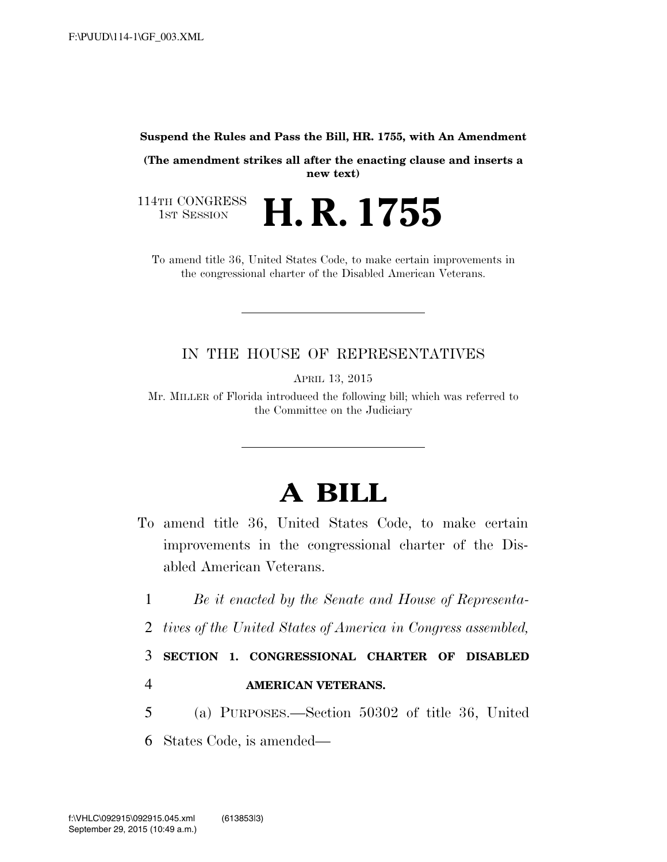## **Suspend the Rules and Pass the Bill, HR. 1755, with An Amendment**

**(The amendment strikes all after the enacting clause and inserts a new text)** 

114TH CONGRESS<br>1st Session H. R. 1755

To amend title 36, United States Code, to make certain improvements in the congressional charter of the Disabled American Veterans.

## IN THE HOUSE OF REPRESENTATIVES

APRIL 13, 2015

Mr. MILLER of Florida introduced the following bill; which was referred to the Committee on the Judiciary

## **A BILL**

- To amend title 36, United States Code, to make certain improvements in the congressional charter of the Disabled American Veterans.
	- 1 *Be it enacted by the Senate and House of Representa-*
	- 2 *tives of the United States of America in Congress assembled,*

3 **SECTION 1. CONGRESSIONAL CHARTER OF DISABLED**  4 **AMERICAN VETERANS.** 

5 (a) PURPOSES.—Section 50302 of title 36, United

6 States Code, is amended—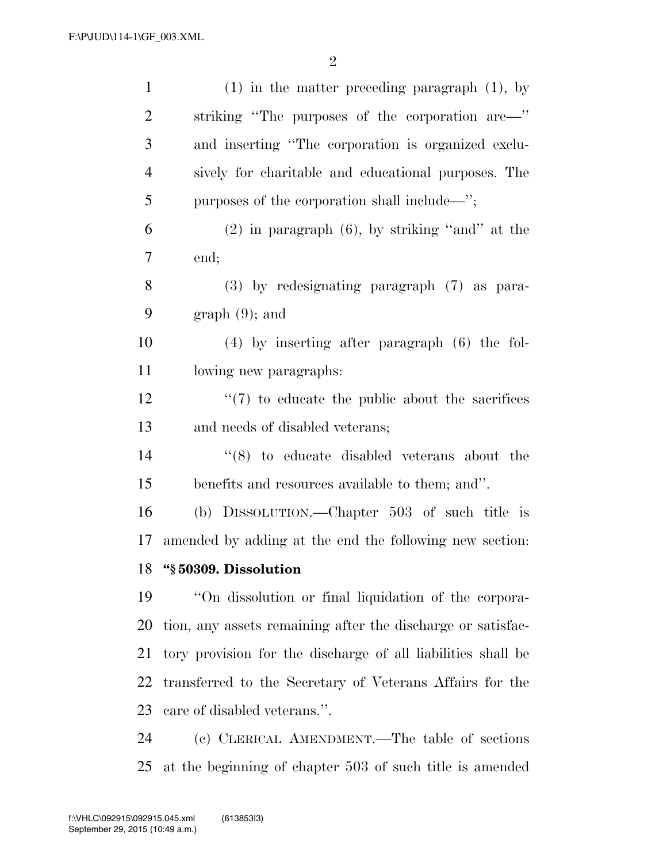| $\mathbf{1}$   | $(1)$ in the matter preceding paragraph $(1)$ , by           |
|----------------|--------------------------------------------------------------|
| $\overline{2}$ | striking "The purposes of the corporation are—"              |
| 3              | and inserting "The corporation is organized exclu-           |
| 4              | sively for charitable and educational purposes. The          |
| 5              | purposes of the corporation shall include—";                 |
| 6              | $(2)$ in paragraph $(6)$ , by striking "and" at the          |
| 7              | end;                                                         |
| 8              | (3) by redesignating paragraph (7) as para-                  |
| 9              | $graph(9)$ ; and                                             |
| 10             | $(4)$ by inserting after paragraph $(6)$ the fol-            |
| 11             | lowing new paragraphs:                                       |
| 12             | $\lq(7)$ to educate the public about the sacrifices          |
| 13             | and needs of disabled veterans;                              |
| 14             | $(8)$ to educate disabled veterans about the                 |
| 15             | benefits and resources available to them; and".              |
| 16             | (b) DISSOLUTION.—Chapter 503 of such title is                |
| 17             | amended by adding at the end the following new section:      |
|                | 18 "§ 50309. Dissolution                                     |
| 19             | "On dissolution or final liquidation of the corpora-         |
| 20             | tion, any assets remaining after the discharge or satisfac-  |
| 21             | tory provision for the discharge of all liabilities shall be |
| 22             | transferred to the Secretary of Veterans Affairs for the     |
| 23             | care of disabled veterans.".                                 |
| 24             | (c) CLERICAL AMENDMENT.—The table of sections                |

at the beginning of chapter 503 of such title is amended